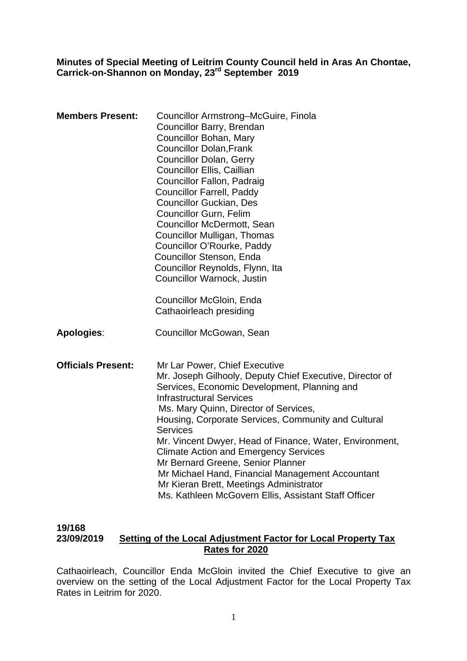#### **Minutes of Special Meeting of Leitrim County Council held in Aras An Chontae, Carrick-on-Shannon on Monday, 23rd September 2019**

| <b>Members Present:</b>   | Councillor Armstrong-McGuire, Finola<br>Councillor Barry, Brendan<br>Councillor Bohan, Mary<br><b>Councillor Dolan, Frank</b><br><b>Councillor Dolan, Gerry</b><br><b>Councillor Ellis, Caillian</b><br><b>Councillor Fallon, Padraig</b><br><b>Councillor Farrell, Paddy</b><br><b>Councillor Guckian, Des</b><br><b>Councillor Gurn, Felim</b><br><b>Councillor McDermott, Sean</b><br>Councillor Mulligan, Thomas<br>Councillor O'Rourke, Paddy<br>Councillor Stenson, Enda<br>Councillor Reynolds, Flynn, Ita<br>Councillor Warnock, Justin<br>Councillor McGloin, Enda                            |
|---------------------------|--------------------------------------------------------------------------------------------------------------------------------------------------------------------------------------------------------------------------------------------------------------------------------------------------------------------------------------------------------------------------------------------------------------------------------------------------------------------------------------------------------------------------------------------------------------------------------------------------------|
| <b>Apologies:</b>         | Cathaoirleach presiding<br>Councillor McGowan, Sean                                                                                                                                                                                                                                                                                                                                                                                                                                                                                                                                                    |
| <b>Officials Present:</b> | Mr Lar Power, Chief Executive<br>Mr. Joseph Gilhooly, Deputy Chief Executive, Director of<br>Services, Economic Development, Planning and<br><b>Infrastructural Services</b><br>Ms. Mary Quinn, Director of Services,<br>Housing, Corporate Services, Community and Cultural<br><b>Services</b><br>Mr. Vincent Dwyer, Head of Finance, Water, Environment,<br><b>Climate Action and Emergency Services</b><br>Mr Bernard Greene, Senior Planner<br>Mr Michael Hand, Financial Management Accountant<br>Mr Kieran Brett, Meetings Administrator<br>Ms. Kathleen McGovern Ellis, Assistant Staff Officer |

## **19/168 23/09/2019 Setting of the Local Adjustment Factor for Local Property Tax Rates for 2020**

Cathaoirleach, Councillor Enda McGloin invited the Chief Executive to give an overview on the setting of the Local Adjustment Factor for the Local Property Tax Rates in Leitrim for 2020.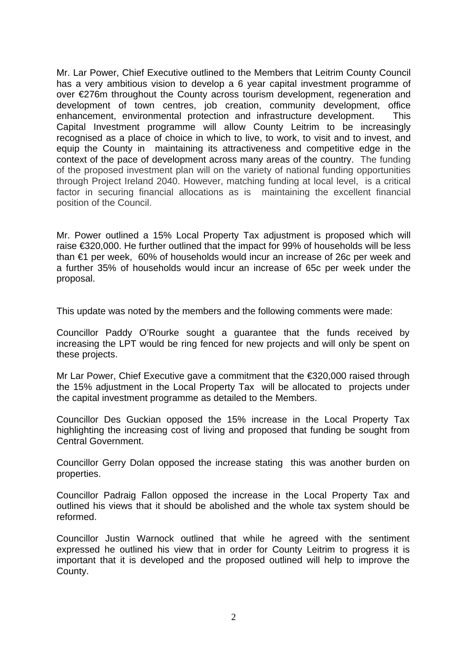Mr. Lar Power, Chief Executive outlined to the Members that Leitrim County Council has a very ambitious vision to develop a 6 year capital investment programme of over €276m throughout the County across tourism development, regeneration and development of town centres, job creation, community development, office enhancement, environmental protection and infrastructure development. This Capital Investment programme will allow County Leitrim to be increasingly recognised as a place of choice in which to live, to work, to visit and to invest, and equip the County in maintaining its attractiveness and competitive edge in the context of the pace of development across many areas of the country. The funding of the proposed investment plan will on the variety of national funding opportunities through Project Ireland 2040. However, matching funding at local level, is a critical factor in securing financial allocations as is maintaining the excellent financial position of the Council.

Mr. Power outlined a 15% Local Property Tax adjustment is proposed which will raise €320,000. He further outlined that the impact for 99% of households will be less than €1 per week, 60% of households would incur an increase of 26c per week and a further 35% of households would incur an increase of 65c per week under the proposal.

This update was noted by the members and the following comments were made:

Councillor Paddy O'Rourke sought a guarantee that the funds received by increasing the LPT would be ring fenced for new projects and will only be spent on these projects.

Mr Lar Power, Chief Executive gave a commitment that the €320,000 raised through the 15% adjustment in the Local Property Tax will be allocated to projects under the capital investment programme as detailed to the Members.

Councillor Des Guckian opposed the 15% increase in the Local Property Tax highlighting the increasing cost of living and proposed that funding be sought from Central Government.

Councillor Gerry Dolan opposed the increase stating this was another burden on properties.

Councillor Padraig Fallon opposed the increase in the Local Property Tax and outlined his views that it should be abolished and the whole tax system should be reformed.

Councillor Justin Warnock outlined that while he agreed with the sentiment expressed he outlined his view that in order for County Leitrim to progress it is important that it is developed and the proposed outlined will help to improve the County.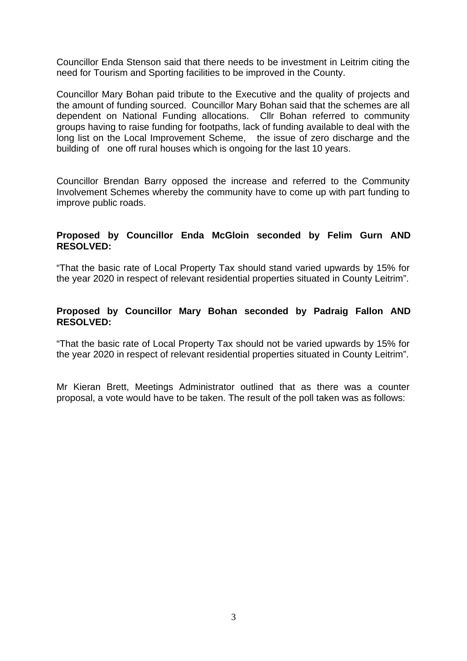Councillor Enda Stenson said that there needs to be investment in Leitrim citing the need for Tourism and Sporting facilities to be improved in the County.

Councillor Mary Bohan paid tribute to the Executive and the quality of projects and the amount of funding sourced. Councillor Mary Bohan said that the schemes are all dependent on National Funding allocations. Cllr Bohan referred to community groups having to raise funding for footpaths, lack of funding available to deal with the long list on the Local Improvement Scheme, the issue of zero discharge and the building of one off rural houses which is ongoing for the last 10 years.

Councillor Brendan Barry opposed the increase and referred to the Community Involvement Schemes whereby the community have to come up with part funding to improve public roads.

## **Proposed by Councillor Enda McGloin seconded by Felim Gurn AND RESOLVED:**

"That the basic rate of Local Property Tax should stand varied upwards by 15% for the year 2020 in respect of relevant residential properties situated in County Leitrim".

## **Proposed by Councillor Mary Bohan seconded by Padraig Fallon AND RESOLVED:**

"That the basic rate of Local Property Tax should not be varied upwards by 15% for the year 2020 in respect of relevant residential properties situated in County Leitrim".

Mr Kieran Brett, Meetings Administrator outlined that as there was a counter proposal, a vote would have to be taken. The result of the poll taken was as follows: